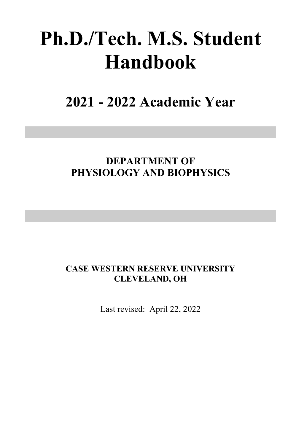# **Ph.D./Tech. M.S. Student Handbook**

**2021 - 2022 Academic Year**

# **DEPARTMENT OF PHYSIOLOGY AND BIOPHYSICS**

# **CASE WESTERN RESERVE UNIVERSITY CLEVELAND, OH**

Last revised: April 22, 2022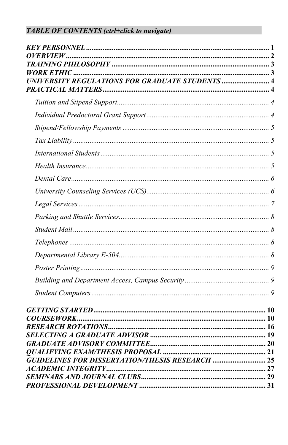# **TABLE OF CONTENTS (ctrl+click to navigate)**

| <b>GUIDELINES FOR DISSERTATION/THESIS RESEARCH  25</b> |  |
|--------------------------------------------------------|--|
|                                                        |  |
|                                                        |  |
|                                                        |  |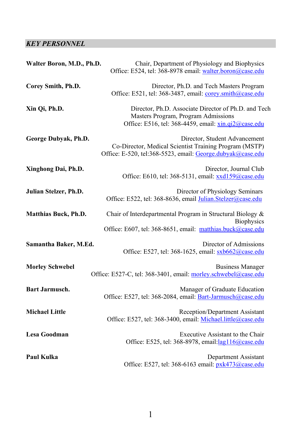# <span id="page-2-0"></span>*KEY PERSONNEL*

| Walter Boron, M.D., Ph.D.   | Chair, Department of Physiology and Biophysics<br>Office: E524, tel: 368-8978 email: walter.boron@case.edu                                            |  |  |
|-----------------------------|-------------------------------------------------------------------------------------------------------------------------------------------------------|--|--|
| Corey Smith, Ph.D.          | Director, Ph.D. and Tech Masters Program<br>Office: E521, tel: 368-3487, email: corey.smith@case.edu                                                  |  |  |
| Xin Qi, Ph.D.               | Director, Ph.D. Associate Director of Ph.D. and Tech<br>Masters Program, Program Admissions<br>Office: E516, tel: 368-4459, email: xin.qi2@case.edu   |  |  |
| George Dubyak, Ph.D.        | Director, Student Advancement<br>Co-Director, Medical Scientist Training Program (MSTP)<br>Office: E-520, tel:368-5523, email: George.dubyak@case.edu |  |  |
| Xinghong Dai, Ph.D.         | Director, Journal Club<br>Office: E610, tel: 368-5131, email: xxd159@case.edu                                                                         |  |  |
| Julian Stelzer, Ph.D.       | Director of Physiology Seminars<br>Office: E522, tel: 368-8636, email Julian.Stelzer@case.edu                                                         |  |  |
| <b>Matthias Buck, Ph.D.</b> | Chair of Interdepartmental Program in Structural Biology &<br><b>Biophysics</b><br>Office: E607, tel: 368-8651, email: matthias.buck@case.edu         |  |  |
| Samantha Baker, M.Ed.       | Director of Admissions<br>Office: E527, tel: 368-1625, email: sxb662@case.edu                                                                         |  |  |
| <b>Morley Schwebel</b>      | <b>Business Manager</b><br>Office: E527-C, tel: 368-3401, email: morley.schwebel@case.edu                                                             |  |  |
| <b>Bart Jarmusch.</b>       | Manager of Graduate Education<br>Office: E527, tel: 368-2084, email: Bart-Jarmusch@case.edu                                                           |  |  |
| <b>Michael Little</b>       | Reception/Department Assistant<br>Office: E527, tel: 368-3400, email: Michael.little@case.edu                                                         |  |  |
| Lesa Goodman                | Executive Assistant to the Chair<br>Office: E525, tel: 368-8978, email: lag116@case.edu                                                               |  |  |
| <b>Paul Kulka</b>           | Department Assistant<br>Office: E527, tel: 368-6163 email: pxk473@case.edu                                                                            |  |  |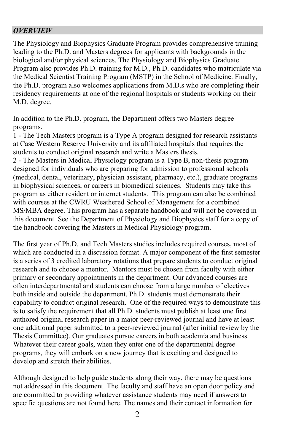#### <span id="page-3-0"></span>*OVERVIEW*

The Physiology and Biophysics Graduate Program provides comprehensive training leading to the Ph.D. and Masters degrees for applicants with backgrounds in the biological and/or physical sciences. The Physiology and Biophysics Graduate Program also provides Ph.D. training for M.D., Ph.D. candidates who matriculate via the Medical Scientist Training Program (MSTP) in the School of Medicine. Finally, the Ph.D. program also welcomes applications from M.D.s who are completing their residency requirements at one of the regional hospitals or students working on their M.D. degree.

In addition to the Ph.D. program, the Department offers two Masters degree programs.

1 - The Tech Masters program is a Type A program designed for research assistants at Case Western Reserve University and its affiliated hospitals that requires the students to conduct original research and write a Masters thesis.

2 - The Masters in Medical Physiology program is a Type B, non-thesis program designed for individuals who are preparing for admission to professional schools (medical, dental, veterinary, physician assistant, pharmacy, etc.), graduate programs in biophysical sciences, or careers in biomedical sciences. Students may take this program as either resident or internet students. This program can also be combined with courses at the CWRU Weathered School of Management for a combined MS/MBA degree. This program has a separate handbook and will not be covered in this document. See the Department of Physiology and Biophysics staff for a copy of the handbook covering the Masters in Medical Physiology program.

The first year of Ph.D. and Tech Masters studies includes required courses, most of which are conducted in a discussion format. A major component of the first semester is a series of 3 credited laboratory rotations that prepare students to conduct original research and to choose a mentor. Mentors must be chosen from faculty with either primary or secondary appointments in the department. Our advanced courses are often interdepartmental and students can choose from a large number of electives both inside and outside the department. Ph.D. students must demonstrate their capability to conduct original research. One of the required ways to demonstrate this is to satisfy the requirement that all Ph.D. students must publish at least one first authored original research paper in a major peer-reviewed journal and have at least one additional paper submitted to a peer-reviewed journal (after initial review by the Thesis Committee). Our graduates pursue careers in both academia and business. Whatever their career goals, when they enter one of the departmental degree programs, they will embark on a new journey that is exciting and designed to develop and stretch their abilities.

Although designed to help guide students along their way, there may be questions not addressed in this document. The faculty and staff have an open door policy and are committed to providing whatever assistance students may need if answers to specific questions are not found here. The names and their contact information for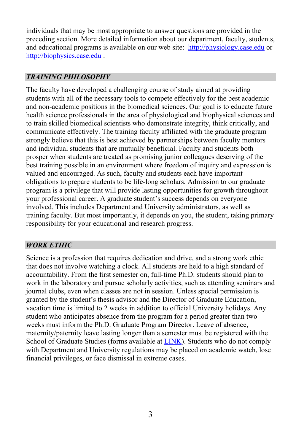individuals that may be most appropriate to answer questions are provided in the preceding section. More detailed information about our department, faculty, students, and educational programs is available on our web site: [http://physiology.case.edu](http://physiology.case.edu/) or [http://biophysics.case.edu](http://biophysics.case.edu/) .

## <span id="page-4-0"></span>*TRAINING PHILOSOPHY*

The faculty have developed a challenging course of study aimed at providing students with all of the necessary tools to compete effectively for the best academic and non-academic positions in the biomedical sciences. Our goal is to educate future health science professionals in the area of physiological and biophysical sciences and to train skilled biomedical scientists who demonstrate integrity, think critically, and communicate effectively. The training faculty affiliated with the graduate program strongly believe that this is best achieved by partnerships between faculty mentors and individual students that are mutually beneficial. Faculty and students both prosper when students are treated as promising junior colleagues deserving of the best training possible in an environment where freedom of inquiry and expression is valued and encouraged. As such, faculty and students each have important obligations to prepare students to be life-long scholars. Admission to our graduate program is a privilege that will provide lasting opportunities for growth throughout your professional career. A graduate student's success depends on everyone involved. This includes Department and University administrators, as well as training faculty. But most importantly, it depends on you, the student, taking primary responsibility for your educational and research progress.

## <span id="page-4-1"></span>*WORK ETHIC*

Science is a profession that requires dedication and drive, and a strong work ethic that does not involve watching a clock. All students are held to a high standard of accountability. From the first semester on, full-time Ph.D. students should plan to work in the laboratory and pursue scholarly activities, such as attending seminars and journal clubs, even when classes are not in session. Unless special permission is granted by the student's thesis advisor and the Director of Graduate Education, vacation time is limited to 2 weeks in addition to official University holidays. Any student who anticipates absence from the program for a period greater than two weeks must inform the Ph.D. Graduate Program Director. Leave of absence, maternity/paternity leave lasting longer than a semester must be registered with the School of Graduate Studies (forms available at **LINK**). Students who do not comply with Department and University regulations may be placed on academic watch, lose financial privileges, or face dismissal in extreme cases.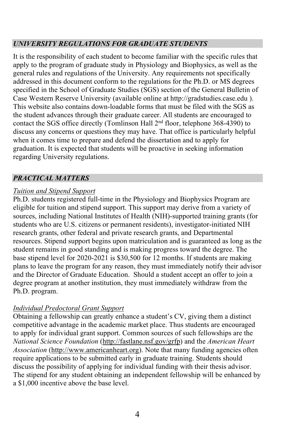# <span id="page-5-0"></span>*UNIVERSITY REGULATIONS FOR GRADUATE STUDENTS*

It is the responsibility of each student to become familiar with the specific rules that apply to the program of graduate study in Physiology and Biophysics, as well as the general rules and regulations of the University. Any requirements not specifically addressed in this document conform to the regulations for the Ph.D. or MS degrees specified in the School of Graduate Studies (SGS) section of the General Bulletin of Case Western Reserve University (available online at [http://gradstudies.case.edu](http://gradstudies.case.edu/) ). This website also contains down-loadable forms that must be filed with the SGS as the student advances through their graduate career. All students are encouraged to contact the SGS office directly (Tomlinson Hall  $2<sup>nd</sup>$  floor, telephone 368-4390) to discuss any concerns or questions they may have. That office is particularly helpful when it comes time to prepare and defend the dissertation and to apply for graduation. It is expected that students will be proactive in seeking information regarding University regulations.

# <span id="page-5-1"></span>*PRACTICAL MATTERS*

# <span id="page-5-2"></span>*Tuition and Stipend Support*

Ph.D. students registered full-time in the Physiology and Biophysics Program are eligible for tuition and stipend support. This support may derive from a variety of sources, including National Institutes of Health (NIH)-supported training grants (for students who are U.S. citizens or permanent residents), investigator-initiated NIH research grants, other federal and private research grants, and Departmental resources. Stipend support begins upon matriculation and is guaranteed as long as the student remains in good standing and is making progress toward the degree. The base stipend level for 2020-2021 is \$30,500 for 12 months. If students are making plans to leave the program for any reason, they must immediately notify their advisor and the Director of Graduate Education. Should a student accept an offer to join a degree program at another institution, they must immediately withdraw from the Ph.D. program.

# <span id="page-5-3"></span>*Individual Predoctoral Grant Support*

Obtaining a fellowship can greatly enhance a student's CV, giving them a distinct competitive advantage in the academic market place. Thus students are encouraged to apply for individual grant support. Common sources of such fellowships are the *National Science Foundation* [\(http://fastlane.nsf.gov/grfp\)](http://fastlane.nsf.gov/grfp/) and the *American Heart Association* [\(http://www.americanheart.org\)](http://www.americanheart.org/). Note that many funding agencies often require applications to be submitted early in graduate training. Students should discuss the possibility of applying for individual funding with their thesis advisor. The stipend for any student obtaining an independent fellowship will be enhanced by a \$1,000 incentive above the base level.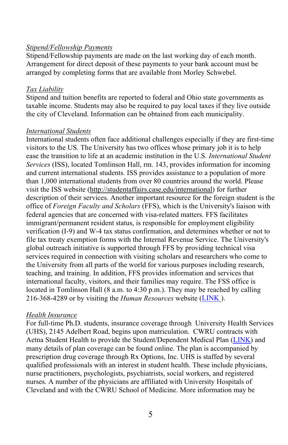#### <span id="page-6-0"></span>*Stipend/Fellowship Payments*

Stipend/Fellowship payments are made on the last working day of each month. Arrangement for direct deposit of these payments to your bank account must be arranged by completing forms that are available from Morley Schwebel.

#### <span id="page-6-1"></span>*Tax Liability*

Stipend and tuition benefits are reported to federal and Ohio state governments as taxable income. Students may also be required to pay local taxes if they live outside the city of Cleveland. Information can be obtained from each municipality.

#### <span id="page-6-2"></span>*International Students*

International students often face additional challenges especially if they are first-time visitors to the US. The University has two offices whose primary job it is to help ease the transition to life at an academic institution in the U.S. *International Student Services* (ISS), located Tomlinson Hall, rm. 143, provides information for incoming and current international students. ISS provides assistance to a population of more than 1,000 international students from over 80 countries around the world. Please visit the ISS website [\(http://studentaffairs.case.edu/international\)](http://studentaffairs.case.edu/international/) for further description of their services. Another important resource for the foreign student is the office of *Foreign Faculty and Scholars* (FFS), which is the University's liaison with federal agencies that are concerned with visa-related matters. FFS facilitates immigrant/permanent resident status, is responsible for employment eligibility verification (I-9) and W-4 tax status confirmation, and determines whether or not to file tax treaty exemption forms with the Internal Revenue Service. The University's global outreach initiative is supported through FFS by providing technical visa services required in connection with visiting scholars and researchers who come to the University from all parts of the world for various purposes including research, teaching, and training. In addition, FFS provides information and services that international faculty, visitors, and their families may require. The FSS office is located in Tomlinson Hall (8 a.m. to 4:30 p.m.). They may be reached by calling 216-368-4289 or by visiting the *Human Resources* website [\(LINK](http://www.cwru.edu/finadmin/humres/ffs) ).

#### <span id="page-6-3"></span>*Health Insurance*

For full-time Ph.D. students, insurance coverage through University Health Services (UHS), 2145 Adelbert Road, begins upon matriculation. CWRU contracts with Aetna Student Health to provide the Student/Dependent Medical Plan [\(LINK\)](http://students.case.edu/medicalplan/) and many details of plan coverage can be found online. The plan is accompanied by prescription drug coverage through Rx Options, Inc. UHS is staffed by several qualified professionals with an interest in student health. These include physicians, nurse practitioners, psychologists, psychiatrists, social workers, and registered nurses. A number of the physicians are affiliated with University Hospitals of Cleveland and with the CWRU School of Medicine. More information may be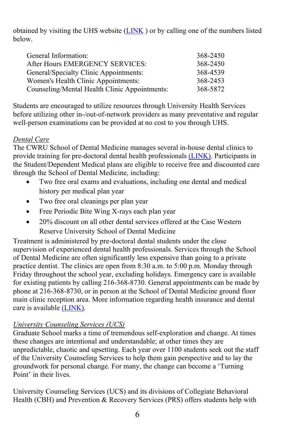obtained by visiting the UHS website  $(LINK)$  $(LINK)$  or by calling one of the numbers listed below.

| General Information:                          | 368-2450 |
|-----------------------------------------------|----------|
| After Hours EMERGENCY SERVICES:               | 368-2450 |
| General/Specialty Clinic Appointments:        | 368-4539 |
| Women's Health Clinic Appointments:           | 368-2453 |
| Counseling/Mental Health Clinic Appointments: | 368-5872 |
|                                               |          |

Students are encouraged to utilize resources through University Health Services before utilizing other in-/out-of-network providers as many preventative and regular well-person examinations can be provided at no cost to you through UHS.

# <span id="page-7-0"></span>*Dental Care*

The CWRU School of Dental Medicine manages several in-house dental clinics to provide training for pre-doctoral dental health professionals [\(LINK\).](https://case.edu/dental/patients-clinics) Participants in the Student/Dependent Medical plans are eligible to receive free and discounted care through the School of Dental Medicine, including:

- Two free oral exams and evaluations, including one dental and medical history per medical plan year
- Two free oral cleanings per plan year
- Free Periodic Bite Wing X-rays each plan year
- 20% discount on all other dental services offered at the Case Western Reserve University School of Dental Medicine

Treatment is administered by pre-doctoral dental students under the close supervision of experienced dental health professionals. Services through the School of Dental Medicine are often significantly less expensive than going to a private practice dentist. The clinics are open from 8:30 a.m. to 5:00 p.m. Monday through Friday throughout the school year, excluding holidays. Emergency care is available for existing patients by calling 216-368-8730. General appointments can be made by phone at 216-368-8730, or in person at the School of Dental Medicine ground floor main clinic reception area. More information regarding health insurance and dental care is available [\(LINK\).](https://case.edu/studentlife/healthcounseling/medical-plan/plan-information) 

# <span id="page-7-1"></span>*University Counseling Services (UCS)*

Graduate School marks a time of tremendous self-exploration and change. At times these changes are intentional and understandable; at other times they are unpredictable, chaotic and upsetting. Each year over 1100 students seek out the staff of the University Counseling Services to help them gain perspective and to lay the groundwork for personal change. For many, the change can become a 'Turning Point' in their lives.

University Counseling Services (UCS) and its divisions of Collegiate Behavioral Health (CBH) and Prevention & Recovery Services (PRS) offers students help with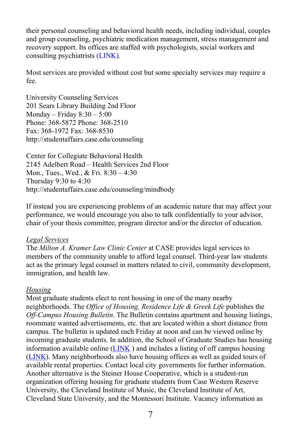their personal counseling and behavioral health needs, including individual, couples and group counseling, psychiatric medication management, stress management and recovery support. Its offices are staffed with psychologists, social workers and consulting psychiatrists [\(LINK\).](http://students.case.edu/counseling/)

Most services are provided without cost but some specialty services may require a fee.

University Counseling Services 201 Sears Library Building 2nd Floor Monday – Friday  $8:30 - 5:00$ Phone: 368-5872 Phone: 368-2510 Fax: 368-1972 Fax: 368-8530 http://studentaffairs.case.edu/counseling

Center for Collegiate Behavioral Health 2145 Adelbert Road – Health Services 2nd Floor Mon., Tues., Wed., & Fri. 8:30 – 4:30 Thursday 9:30 to 4:30 http://studentaffairs.case.edu/counseling/mindbody

If instead you are experiencing problems of an academic nature that may affect your performance, we would encourage you also to talk confidentially to your advisor, chair of your thesis committee, program director and/or the director of education.

#### <span id="page-8-0"></span>*Legal Services*

The *Milton A. Kramer Law Clinic Center* at CASE provides legal services to members of the community unable to afford legal counsel. Third-year law students act as the primary legal counsel in matters related to civil, community development, immigration, and health law.

## *Housing*

Most graduate students elect to rent housing in one of the many nearby neighborhoods. The *Office of Housing, Residence Life & Greek Life* publishes the *Off-Campus Housing Bulletin*. The Bulletin contains apartment and housing listings, roommate wanted advertisements, etc. that are located within a short distance from campus. The bulletin is updated each Friday at noon and can be viewed online by incoming graduate students. In addition, the School of Graduate Studies has housing information available online  $(LINK)$  $(LINK)$  and includes a listing of off campus housing [\(LINK\)](https://case.edu/housing/services/campus-housing). Many neighborhoods also have housing offices as well as guided tours of available rental properties. Contact local city governments for further information. Another alternative is the Steiner House Cooperative, which is a student-run organization offering housing for graduate students from Case Western Reserve University, the Cleveland Institute of Music, the Cleveland Institute of Art, Cleveland State University, and the Montessori Institute. Vacancy information as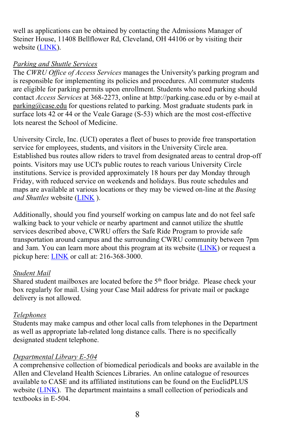well as applications can be obtained by contacting the Admissions Manager of Steiner House, 11408 Bellflower Rd, Cleveland, OH 44106 or by visiting their website [\(LINK\)](https://steinerhouse.org/).

# <span id="page-9-0"></span>*Parking and Shuttle Services*

The *CWRU Office of Access Services* manages the University's parking program and is responsible for implementing its policies and procedures. All commuter students are eligible for parking permits upon enrollment. Students who need parking should contact *Access Services* at 368-2273, online at http://parking.case.edu or by e-mail at [parking@case.edu](mailto:parking@case.edufor) for questions related to parking. Most graduate students park in surface lots 42 or 44 or the Veale Garage (S-53) which are the most cost-effective lots nearest the School of Medicine.

University Circle, Inc. (UCI) operates a fleet of buses to provide free transportation service for employees, students, and visitors in the University Circle area. Established bus routes allow riders to travel from designated areas to central drop-off points. Visitors may use UCI's public routes to reach various University Circle institutions. Service is provided approximately 18 hours per day Monday through Friday, with reduced service on weekends and holidays. Bus route schedules and maps are available at various locations or they may be viewed on-line at the *Busing and Shuttles* website [\(LINK](https://case.edu/access-services/transportation/shuttles) ).

Additionally, should you find yourself working on campus late and do not feel safe walking back to your vehicle or nearby apartment and cannot utilize the shuttle services described above, CWRU offers the Safe Ride Program to provide safe transportation around campus and the surrounding CWRU community between 7pm and  $3$ am. You can learn more about this program at its website  $(LINK)$  or request a pickup here: **LINK** or call at: 216-368-3000.

## <span id="page-9-1"></span>*Student Mail*

Shared student mailboxes are located before the 5<sup>th</sup> floor bridge. Please check your box regularly for mail. Using your Case Mail address for private mail or package delivery is not allowed.

# <span id="page-9-2"></span>*Telephones*

Students may make campus and other local calls from telephones in the Department as well as appropriate lab-related long distance calls. There is no specifically designated student telephone.

# <span id="page-9-3"></span>*Departmental Library E-504*

A comprehensive collection of biomedical periodicals and books are available in the Allen and Cleveland Health Sciences Libraries. An online catalogue of resources available to CASE and its affiliated institutions can be found on the EuclidPLUS website [\(LINK\)](https://case.edu/campus-life/libraries/). The department maintains a small collection of periodicals and textbooks in E-504.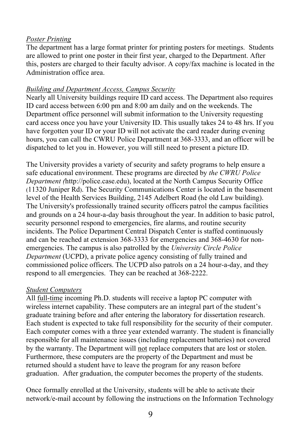#### <span id="page-10-0"></span>*Poster Printing*

The department has a large format printer for printing posters for meetings. Students are allowed to print one poster in their first year, charged to the Department. After this, posters are charged to their faculty advisor. A copy/fax machine is located in the Administration office area.

#### <span id="page-10-1"></span>*Building and Department Access, Campus Security*

Nearly all University buildings require ID card access. The Department also requires ID card access between 6:00 pm and 8:00 am daily and on the weekends. The Department office personnel will submit information to the University requesting card access once you have your University ID. This usually takes 24 to 48 hrs. If you have forgotten your ID or your ID will not activate the card reader during evening hours, you can call the CWRU Police Department at 368-3333, and an officer will be dispatched to let you in. However, you will still need to present a picture ID.

The University provides a variety of security and safety programs to help ensure a safe educational environment. These programs are directed by *the CWRU Police Department (*[http://police.case.edu\)](http://police.case.edu/), located at the North Campus Security Office (11320 Juniper Rd). The Security Communications Center is located in the basement level of the Health Services Building, 2145 Adelbert Road (he old Law building). The University's professionally trained security officers patrol the campus facilities and grounds on a 24 hour-a-day basis throughout the year. In addition to basic patrol, security personnel respond to emergencies, fire alarms, and routine security incidents. The Police Department Central Dispatch Center is staffed continuously and can be reached at extension 368-3333 for emergencies and 368-4630 for nonemergencies. The campus is also patrolled by the *University Circle Police Department* (UCPD), a private police agency consisting of fully trained and commissioned police officers. The UCPD also patrols on a 24 hour-a-day, and they respond to all emergencies. They can be reached at 368-2222.

#### <span id="page-10-2"></span>*Student Computers*

All full-time incoming Ph.D. students will receive a laptop PC computer with wireless internet capability. These computers are an integral part of the student's graduate training before and after entering the laboratory for dissertation research. Each student is expected to take full responsibility for the security of their computer. Each computer comes with a three year extended warranty. The student is financially responsible for all maintenance issues (including replacement batteries) not covered by the warranty. The Department will not replace computers that are lost or stolen. Furthermore, these computers are the property of the Department and must be returned should a student have to leave the program for any reason before graduation. After graduation, the computer becomes the property of the students.

Once formally enrolled at the University, students will be able to activate their network/e-mail account by following the instructions on the Information Technology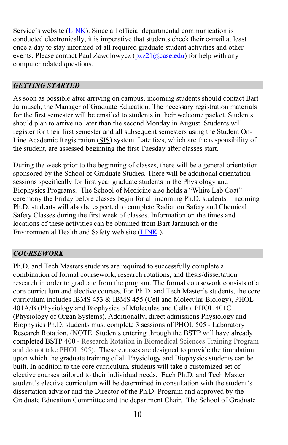Service's website [\(LINK\)](https://case.edu/utech/resources/student-resources). Since all official departmental communication is conducted electronically, it is imperative that students check their e-mail at least once a day to stay informed of all required graduate student activities and other events. Please contact Paul Zawolowycz ( $pxz21@case.edu$ ) for help with any computer related questions.

# <span id="page-11-0"></span>*GETTING STARTED*

As soon as possible after arriving on campus, incoming students should contact Bart Jarmusch, the Manager of Graduate Education. The necessary registration materials for the first semester will be emailed to students in their welcome packet. Students should plan to arrive no later than the second Monday in August. Students will register for their first semester and all subsequent semesters using the Student On-Line Academic Registration [\(SIS\)](http://www.case.edu/provost/registrar/onlinereg.html) system. Late fees, which are the responsibility of the student, are assessed beginning the first Tuesday after classes start.

During the week prior to the beginning of classes, there will be a general orientation sponsored by the School of Graduate Studies. There will be additional orientation sessions specifically for first year graduate students in the Physiology and Biophysics Programs. The School of Medicine also holds a "White Lab Coat" ceremony the Friday before classes begin for all incoming Ph.D. students. Incoming Ph.D. students will also be expected to complete Radiation Safety and Chemical Safety Classes during the first week of classes. Information on the times and locations of these activities can be obtained from Bart Jarmusch or the Environmental Health and Safety web site [\(LINK](https://www.case.edu/ehs) ).

# <span id="page-11-1"></span>*COURSEWORK*

Ph.D. and Tech Masters students are required to successfully complete a combination of formal coursework, research rotations, and thesis/dissertation research in order to graduate from the program. The formal coursework consists of a core curriculum and elective courses. For Ph.D. and Tech Master's students, the core curriculum includes IBMS 453 & IBMS 455 (Cell and Molecular Biology), PHOL 401A/B (Physiology and Biophysics of Molecules and Cells), PHOL 401C (Physiology of Organ Systems). Additionally, direct admissions Physiology and Biophysics Ph.D. students must complete 3 sessions of PHOL 505 - Laboratory Research Rotation. (NOTE: Students entering through the BSTP will have already completed BSTP 400 - Research Rotation in Biomedical Sciences Training Program and do not take PHOL 505). These courses are designed to provide the foundation upon which the graduate training of all Physiology and Biophysics students can be built. In addition to the core curriculum, students will take a customized set of elective courses tailored to their individual needs. Each Ph.D. and Tech Master student's elective curriculum will be determined in consultation with the student's dissertation advisor and the Director of the Ph.D. Program and approved by the Graduate Education Committee and the department Chair. The School of Graduate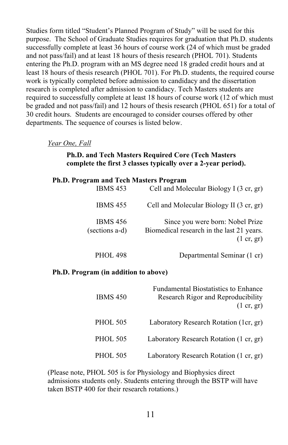Studies form titled "Student's Planned Program of Study" will be used for this purpose. The School of Graduate Studies requires for graduation that Ph.D. students successfully complete at least 36 hours of course work (24 of which must be graded and not pass/fail) and at least 18 hours of thesis research (PHOL 701). Students entering the Ph.D. program with an MS degree need 18 graded credit hours and at least 18 hours of thesis research (PHOL 701). For Ph.D. students, the required course work is typically completed before admission to candidacy and the dissertation research is completed after admission to candidacy. Tech Masters students are required to successfully complete at least 18 hours of course work (12 of which must be graded and not pass/fail) and 12 hours of thesis research (PHOL 651) for a total of 30 credit hours. Students are encouraged to consider courses offered by other departments. The sequence of courses is listed below.

*Year One, Fall*

#### **Ph.D. and Tech Masters Required Core (Tech Masters complete the first 3 classes typically over a 2-year period).**

#### **Ph.D. Program and Tech Masters Program**

| Cell and Molecular Biology I (3 cr, gr)                                                                      | <b>IBMS 453</b>                   |
|--------------------------------------------------------------------------------------------------------------|-----------------------------------|
| Cell and Molecular Biology II (3 cr, gr)                                                                     | <b>IBMS 455</b>                   |
| Since you were born: Nobel Prize<br>Biomedical research in the last 21 years.<br>$(1 \text{ cr}, \text{gr})$ | <b>IBMS 456</b><br>(sections a-d) |
| Departmental Seminar (1 cr)                                                                                  | <b>PHOL 498</b>                   |

#### **Ph.D. Program (in addition to above)**

| <b>Fundamental Biostatistics to Enhance</b><br>Research Rigor and Reproducibility<br>$(1 \text{ cr}, \text{gr})$ | <b>IBMS 450</b> |
|------------------------------------------------------------------------------------------------------------------|-----------------|
| Laboratory Research Rotation (1cr, gr)                                                                           | <b>PHOL 505</b> |
| Laboratory Research Rotation (1 cr, gr)                                                                          | <b>PHOL 505</b> |
| Laboratory Research Rotation (1 cr, gr)                                                                          | <b>PHOL 505</b> |

(Please note, PHOL 505 is for Physiology and Biophysics direct admissions students only. Students entering through the BSTP will have taken BSTP 400 for their research rotations.)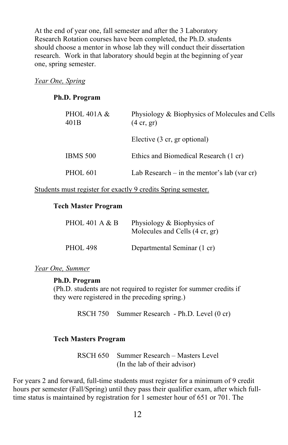At the end of year one, fall semester and after the 3 Laboratory Research Rotation courses have been completed, the Ph.D. students should choose a mentor in whose lab they will conduct their dissertation research. Work in that laboratory should begin at the beginning of year one, spring semester.

#### *Year One, Spring*

#### **Ph.D. Program**

| PHOL 401A $\&$<br>401 <sub>B</sub> | Physiology & Biophysics of Molecules and Cells<br>$(4 \text{ cr}, \text{gr})$ |  |
|------------------------------------|-------------------------------------------------------------------------------|--|
|                                    | Elective (3 cr, gr optional)                                                  |  |
| <b>IBMS 500</b>                    | Ethics and Biomedical Research (1 cr)                                         |  |
| <b>PHOL 601</b>                    | Lab Research $-$ in the mentor's lab (var cr)                                 |  |

Students must register for exactly 9 credits Spring semester.

## **Tech Master Program**

| PHOL 401 A $&$ B | Physiology & Biophysics of<br>Molecules and Cells (4 cr, gr) |
|------------------|--------------------------------------------------------------|
| <b>PHOL 498</b>  | Departmental Seminar (1 cr)                                  |

*Year One, Summer*

#### **Ph.D. Program**

(Ph.D. students are not required to register for summer credits if they were registered in the preceding spring.)

RSCH 750 Summer Research - Ph.D. Level (0 cr)

## **Tech Masters Program**

RSCH 650 Summer Research – Masters Level (In the lab of their advisor)

For years 2 and forward, full-time students must register for a minimum of 9 credit hours per semester (Fall/Spring) until they pass their qualifier exam, after which fulltime status is maintained by registration for 1 semester hour of 651 or 701. The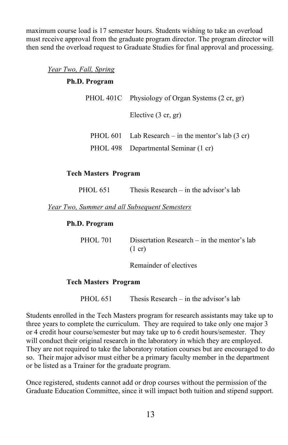maximum course load is 17 semester hours. Students wishing to take an overload must receive approval from the graduate program director. The program director will then send the overload request to Graduate Studies for final approval and processing.

*Year Two, Fall, Spring*

#### **Ph.D. Program**

|  | PHOL 401C Physiology of Organ Systems (2 cr, gr)             |  |
|--|--------------------------------------------------------------|--|
|  | Elective $(3 \text{ cr}, \text{gr})$                         |  |
|  | PHOL 601 Lab Research – in the mentor's lab $(3 \text{ cr})$ |  |
|  | PHOL 498 Departmental Seminar (1 cr)                         |  |

## **Tech Masters Program**

| <b>PHOL 651</b><br>Thesis Research $-$ in the advisor's lab |
|-------------------------------------------------------------|
|-------------------------------------------------------------|

*Year Two, Summer and all Subsequent Semesters*

#### **Ph.D. Program**

 PHOL 701 Dissertation Research – in the mentor's lab  $(1 \text{ cr})$ 

Remainder of electives

## **Tech Masters Program**

PHOL 651 Thesis Research – in the advisor's lab

Students enrolled in the Tech Masters program for research assistants may take up to three years to complete the curriculum. They are required to take only one major 3 or 4 credit hour course/semester but may take up to 6 credit hours/semester. They will conduct their original research in the laboratory in which they are employed. They are not required to take the laboratory rotation courses but are encouraged to do so. Their major advisor must either be a primary faculty member in the department or be listed as a Trainer for the graduate program.

Once registered, students cannot add or drop courses without the permission of the Graduate Education Committee, since it will impact both tuition and stipend support.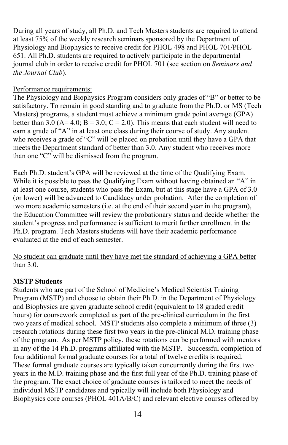During all years of study, all Ph.D. and Tech Masters students are required to attend at least 75% of the weekly research seminars sponsored by the Department of Physiology and Biophysics to receive credit for PHOL 498 and PHOL 701/PHOL 651. All Ph.D. students are required to actively participate in the departmental journal club in order to receive credit for PHOL 701 (see section on *Seminars and the Journal Club*).

# Performance requirements:

The Physiology and Biophysics Program considers only grades of "B" or better to be satisfactory. To remain in good standing and to graduate from the Ph.D. or MS (Tech Masters) programs, a student must achieve a minimum grade point average (GPA) better than 3.0 (A= 4.0; B = 3.0; C = 2.0). This means that each student will need to earn a grade of "A" in at least one class during their course of study. Any student who receives a grade of "C" will be placed on probation until they have a GPA that meets the Department standard of better than 3.0. Any student who receives more than one "C" will be dismissed from the program.

Each Ph.D. student's GPA will be reviewed at the time of the Qualifying Exam. While it is possible to pass the Qualifying Exam without having obtained an "A" in at least one course, students who pass the Exam, but at this stage have a GPA of 3.0 (or lower) will be advanced to Candidacy under probation. After the completion of two more academic semesters (i.e. at the end of their second year in the program), the Education Committee will review the probationary status and decide whether the student's progress and performance is sufficient to merit further enrollment in the Ph.D. program. Tech Masters students will have their academic performance evaluated at the end of each semester.

No student can graduate until they have met the standard of achieving a GPA better than 3.0.

## **MSTP Students**

Students who are part of the School of Medicine's Medical Scientist Training Program (MSTP) and choose to obtain their Ph.D. in the Department of Physiology and Biophysics are given graduate school credit (equivalent to 18 graded credit hours) for coursework completed as part of the pre-clinical curriculum in the first two years of medical school. MSTP students also complete a minimum of three (3) research rotations during these first two years in the pre-clinical M.D. training phase of the program. As per MSTP policy, these rotations can be performed with mentors in any of the 14 Ph.D. programs affiliated with the MSTP. Successful completion of four additional formal graduate courses for a total of twelve credits is required. These formal graduate courses are typically taken concurrently during the first two years in the M.D. training phase and the first full year of the Ph.D. training phase of the program. The exact choice of graduate courses is tailored to meet the needs of individual MSTP candidates and typically will include both Physiology and Biophysics core courses (PHOL 401A/B/C) and relevant elective courses offered by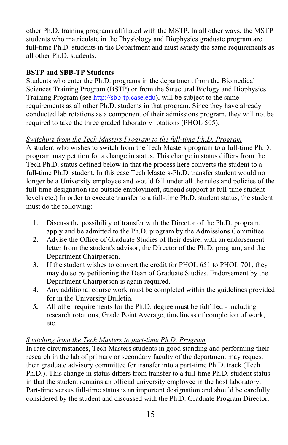other Ph.D. training programs affiliated with the MSTP. In all other ways, the MSTP students who matriculate in the Physiology and Biophysics graduate program are full-time Ph.D. students in the Department and must satisfy the same requirements as all other Ph.D. students.

# **BSTP and SBB-TP Students**

Students who enter the Ph.D. programs in the department from the Biomedical Sciences Training Program (BSTP) or from the Structural Biology and Biophysics Training Program (see [http://sbb-tp.case.edu\)](http://sbb-tp.case.edu/), will be subject to the same requirements as all other Ph.D. students in that program. Since they have already conducted lab rotations as a component of their admissions program, they will not be required to take the three graded laboratory rotations (PHOL 505).

# *Switching from the Tech Masters Program to the full-time Ph.D. Program*

A student who wishes to switch from the Tech Masters program to a full-time Ph.D. program may petition for a change in status. This change in status differs from the Tech Ph.D. status defined below in that the process here converts the student to a full-time Ph.D. student. In this case Tech Masters-Ph.D. transfer student would no longer be a University employee and would fall under all the rules and policies of the full-time designation (no outside employment, stipend support at full-time student levels etc.) In order to execute transfer to a full-time Ph.D. student status, the student must do the following:

- 1. Discuss the possibility of transfer with the Director of the Ph.D. program, apply and be admitted to the Ph.D. program by the Admissions Committee.
- 2. Advise the Office of Graduate Studies of their desire, with an endorsement letter from the student's advisor, the Director of the Ph.D. program, and the Department Chairperson.
- 3. If the student wishes to convert the credit for PHOL 651 to PHOL 701, they may do so by petitioning the Dean of Graduate Studies. Endorsement by the Department Chairperson is again required.
- 4. Any additional course work must be completed within the guidelines provided for in the University Bulletin.
- *5.* All other requirements for the Ph.D. degree must be fulfilled including research rotations, Grade Point Average, timeliness of completion of work, etc.

## *Switching from the Tech Masters to part-time Ph.D. Program*

In rare circumstances, Tech Masters students in good standing and performing their research in the lab of primary or secondary faculty of the department may request their graduate advisory committee for transfer into a part-time Ph.D. track (Tech Ph.D.). This change in status differs from transfer to a full-time Ph.D. student status in that the student remains an official university employee in the host laboratory. Part-time versus full-time status is an important designation and should be carefully considered by the student and discussed with the Ph.D. Graduate Program Director.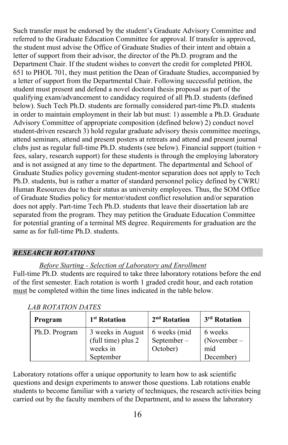Such transfer must be endorsed by the student's Graduate Advisory Committee and referred to the Graduate Education Committee for approval. If transfer is approved, the student must advise the Office of Graduate Studies of their intent and obtain a letter of support from their advisor, the director of the Ph.D. program and the Department Chair. If the student wishes to convert the credit for completed PHOL 651 to PHOL 701, they must petition the Dean of Graduate Studies, accompanied by a letter of support from the Departmental Chair. Following successful petition, the student must present and defend a novel doctoral thesis proposal as part of the qualifying exam/advancement to candidacy required of all Ph.D. students (defined below). Such Tech Ph.D. students are formally considered part-time Ph.D. students in order to maintain employment in their lab but must: 1) assemble a Ph.D. Graduate Advisory Committee of appropriate composition (defined below) 2) conduct novel student-driven research 3) hold regular graduate advisory thesis committee meetings, attend seminars, attend and present posters at retreats and attend and present journal clubs just as regular full-time Ph.D. students (see below). Financial support (tuition + fees, salary, research support) for these students is through the employing laboratory and is not assigned at any time to the department. The departmental and School of Graduate Studies policy governing student-mentor separation does not apply to Tech Ph.D. students, but is rather a matter of standard personnel policy defined by CWRU Human Resources due to their status as university employees. Thus, the SOM Office of Graduate Studies policy for mentor/student conflict resolution and/or separation does not apply. Part-time Tech Ph.D. students that leave their dissertation lab are separated from the program. They may petition the Graduate Education Committee for potential granting of a terminal MS degree. Requirements for graduation are the same as for full-time Ph.D. students.

# <span id="page-17-0"></span>*RESEARCH ROTATIONS*

# *Before Starting - Selection of Laboratory and Enrollment*

Full-time Ph.D. students are required to take three laboratory rotations before the end of the first semester. Each rotation is worth 1 graded credit hour, and each rotation must be completed within the time lines indicated in the table below.

| Program       | 1 <sup>st</sup> Rotation                                         | 2 <sup>nd</sup> Rotation               | 3 <sup>rd</sup> Rotation                     |
|---------------|------------------------------------------------------------------|----------------------------------------|----------------------------------------------|
| Ph.D. Program | 3 weeks in August<br>(full time) plus 2<br>weeks in<br>September | 6 weeks (mid<br>September-<br>October) | 6 weeks<br>$(November -$<br>mid<br>December) |

Laboratory rotations offer a unique opportunity to learn how to ask scientific questions and design experiments to answer those questions. Lab rotations enable students to become familiar with a variety of techniques, the research activities being carried out by the faculty members of the Department, and to assess the laboratory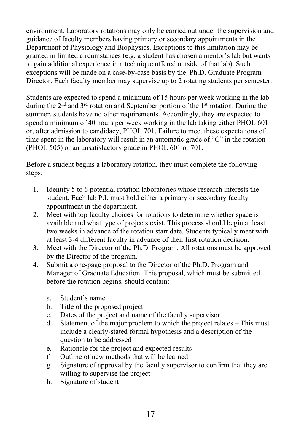environment. Laboratory rotations may only be carried out under the supervision and guidance of faculty members having primary or secondary appointments in the Department of Physiology and Biophysics. Exceptions to this limitation may be granted in limited circumstances (e.g. a student has chosen a mentor's lab but wants to gain additional experience in a technique offered outside of that lab). Such exceptions will be made on a case-by-case basis by the Ph.D. Graduate Program Director. Each faculty member may supervise up to 2 rotating students per semester.

Students are expected to spend a minimum of 15 hours per week working in the lab during the  $2<sup>nd</sup>$  and  $3<sup>rd</sup>$  rotation and September portion of the  $1<sup>st</sup>$  rotation. During the summer, students have no other requirements. Accordingly, they are expected to spend a minimum of 40 hours per week working in the lab taking either PHOL 601 or, after admission to candidacy, PHOL 701. Failure to meet these expectations of time spent in the laboratory will result in an automatic grade of "C" in the rotation (PHOL 505) or an unsatisfactory grade in PHOL 601 or 701.

Before a student begins a laboratory rotation, they must complete the following steps:

- 1. Identify 5 to 6 potential rotation laboratories whose research interests the student. Each lab P.I. must hold either a primary or secondary faculty appointment in the department.
- 2. Meet with top faculty choices for rotations to determine whether space is available and what type of projects exist. This process should begin at least two weeks in advance of the rotation start date. Students typically meet with at least 3-4 different faculty in advance of their first rotation decision.
- 3. Meet with the Director of the Ph.D. Program. All rotations must be approved by the Director of the program.
- 4. Submit a one-page proposal to the Director of the Ph.D. Program and Manager of Graduate Education. This proposal, which must be submitted before the rotation begins, should contain:
	- a. Student's name
	- b. Title of the proposed project
	- c. Dates of the project and name of the faculty supervisor
	- d. Statement of the major problem to which the project relates This must include a clearly-stated formal hypothesis and a description of the question to be addressed
	- e. Rationale for the project and expected results
	- f. Outline of new methods that will be learned
	- g. Signature of approval by the faculty supervisor to confirm that they are willing to supervise the project
	- h. Signature of student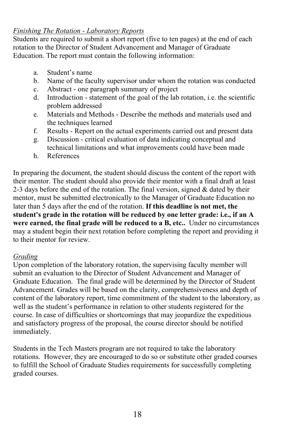# *Finishing The Rotation - Laboratory Reports*

Students are required to submit a short report (five to ten pages) at the end of each rotation to the Director of Student Advancement and Manager of Graduate Education. The report must contain the following information:

- a. Student's name
- b. Name of the faculty supervisor under whom the rotation was conducted
- c. Abstract one paragraph summary of project
- d. Introduction statement of the goal of the lab rotation, i.e. the scientific problem addressed
- e. Materials and Methods Describe the methods and materials used and the techniques learned
- f. Results Report on the actual experiments carried out and present data
- g. Discussion critical evaluation of data indicating conceptual and technical limitations and what improvements could have been made
- h. References

In preparing the document, the student should discuss the content of the report with their mentor. The student should also provide their mentor with a final draft at least 2-3 days before the end of the rotation. The final version, signed  $\&$  dated by their mentor, must be submitted electronically to the Manager of Graduate Education no later than 5 days after the end of the rotation. **If this deadline is not met, the student's grade in the rotation will be reduced by one letter grade: i.e., if an A were earned, the final grade will be reduced to a B, etc..** Under no circumstances may a student begin their next rotation before completing the report and providing it to their mentor for review.

# *Grading*

Upon completion of the laboratory rotation, the supervising faculty member will submit an evaluation to the Director of Student Advancement and Manager of Graduate Education. The final grade will be determined by the Director of Student Advancement. Grades will be based on the clarity, comprehensiveness and depth of content of the laboratory report, time commitment of the student to the laboratory, as well as the student's performance in relation to other students registered for the course. In case of difficulties or shortcomings that may jeopardize the expeditious and satisfactory progress of the proposal, the course director should be notified immediately.

Students in the Tech Masters program are not required to take the laboratory rotations. However, they are encouraged to do so or substitute other graded courses to fulfill the School of Graduate Studies requirements for successfully completing graded courses.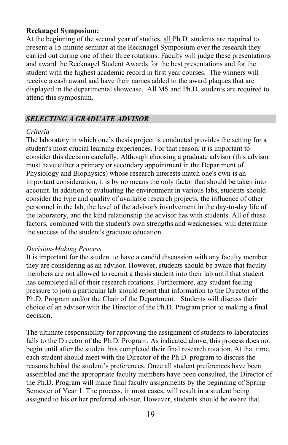#### **Recknagel Symposium:**

At the beginning of the second year of studies, all Ph.D. students are required to present a 15 minute seminar at the Recknagel Symposium over the research they carried out during one of their three rotations. Faculty will judge these presentations and award the Recknagel Student Awards for the best presentations and for the student with the highest academic record in first year courses. The winners will receive a cash award and have their names added to the award plaques that are displayed in the departmental showcase. All MS and Ph.D. students are required to attend this symposium.

# <span id="page-20-0"></span>*SELECTING A GRADUATE ADVISOR*

#### *Criteria*

The laboratory in which one's thesis project is conducted provides the setting for a student's most crucial learning experiences. For that reason, it is important to consider this decision carefully. Although choosing a graduate advisor (this advisor must have either a primary or secondary appointment in the Department of Physiology and Biophysics) whose research interests match one's own is an important consideration, it is by no means the only factor that should be taken into account. In addition to evaluating the environment in various labs, students should consider the type and quality of available research projects, the influence of other personnel in the lab, the level of the advisor's involvement in the day-to-day life of the laboratory, and the kind relationship the advisor has with students. All of these factors, combined with the student's own strengths and weaknesses, will determine the success of the student's graduate education.

## *Decision-Making Process*

It is important for the student to have a candid discussion with any faculty member they are considering as an advisor. However, students should be aware that faculty members are not allowed to recruit a thesis student into their lab until that student has completed all of their research rotations. Furthermore, any student feeling pressure to join a particular lab should report that information to the Director of the Ph.D. Program and/or the Chair of the Department. Students will discuss their choice of an advisor with the Director of the Ph.D. Program prior to making a final decision.

The ultimate responsibility for approving the assignment of students to laboratories falls to the Director of the Ph.D. Program. As indicated above, this process does not begin until after the student has completed their final research rotation. At that time, each student should meet with the Director of the Ph.D. program to discuss the reasons behind the student's preferences. Once all student preferences have been assembled and the appropriate faculty members have been consulted, the Director of the Ph.D. Program will make final faculty assignments by the beginning of Spring Semester of Year 1. The process, in most cases, will result in a student being assigned to his or her preferred advisor. However, students should be aware that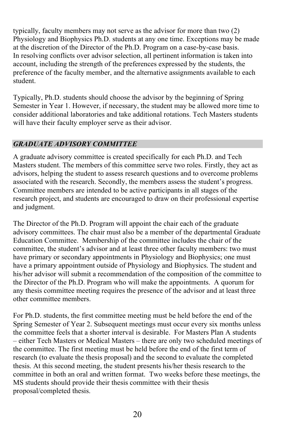typically, faculty members may not serve as the advisor for more than two (2) Physiology and Biophysics Ph.D. students at any one time. Exceptions may be made at the discretion of the Director of the Ph.D. Program on a case-by-case basis. In resolving conflicts over advisor selection, all pertinent information is taken into account, including the strength of the preferences expressed by the students, the preference of the faculty member, and the alternative assignments available to each student.

Typically, Ph.D. students should choose the advisor by the beginning of Spring Semester in Year 1. However, if necessary, the student may be allowed more time to consider additional laboratories and take additional rotations. Tech Masters students will have their faculty employer serve as their advisor.

# <span id="page-21-0"></span>*GRADUATE ADVISORY COMMITTEE*

A graduate advisory committee is created specifically for each Ph.D. and Tech Masters student. The members of this committee serve two roles. Firstly, they act as advisors, helping the student to assess research questions and to overcome problems associated with the research. Secondly, the members assess the student's progress. Committee members are intended to be active participants in all stages of the research project, and students are encouraged to draw on their professional expertise and judgment.

The Director of the Ph.D. Program will appoint the chair each of the graduate advisory committees. The chair must also be a member of the departmental Graduate Education Committee. Membership of the committee includes the chair of the committee, the student's advisor and at least three other faculty members: two must have primary or secondary appointments in Physiology and Biophysics; one must have a primary appointment outside of Physiology and Biophysics. The student and his/her advisor will submit a recommendation of the composition of the committee to the Director of the Ph.D. Program who will make the appointments. A quorum for any thesis committee meeting requires the presence of the advisor and at least three other committee members.

For Ph.D. students, the first committee meeting must be held before the end of the Spring Semester of Year 2. Subsequent meetings must occur every six months unless the committee feels that a shorter interval is desirable. For Masters Plan A students – either Tech Masters or Medical Masters – there are only two scheduled meetings of the committee. The first meeting must be held before the end of the first term of research (to evaluate the thesis proposal) and the second to evaluate the completed thesis. At this second meeting, the student presents his/her thesis research to the committee in both an oral and written format. Two weeks before these meetings, the MS students should provide their thesis committee with their thesis proposal/completed thesis.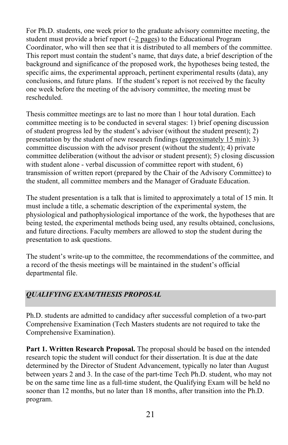For Ph.D. students, one week prior to the graduate advisory committee meeting, the student must provide a brief report  $(\sim 2$  pages) to the Educational Program Coordinator, who will then see that it is distributed to all members of the committee. This report must contain the student's name, that days date, a brief description of the background and significance of the proposed work, the hypotheses being tested, the specific aims, the experimental approach, pertinent experimental results (data), any conclusions, and future plans. If the student's report is not received by the faculty one week before the meeting of the advisory committee, the meeting must be rescheduled.

Thesis committee meetings are to last no more than 1 hour total duration. Each committee meeting is to be conducted in several stages: 1) brief opening discussion of student progress led by the student's advisor (without the student present); 2) presentation by the student of new research findings (approximately 15 min); 3) committee discussion with the advisor present (without the student); 4) private committee deliberation (without the advisor or student present); 5) closing discussion with student alone - verbal discussion of committee report with student, 6) transmission of written report (prepared by the Chair of the Advisory Committee) to the student, all committee members and the Manager of Graduate Education.

The student presentation is a talk that is limited to approximately a total of 15 min. It must include a title, a schematic description of the experimental system, the physiological and pathophysiological importance of the work, the hypotheses that are being tested, the experimental methods being used, any results obtained, conclusions, and future directions. Faculty members are allowed to stop the student during the presentation to ask questions.

The student's write-up to the committee, the recommendations of the committee, and a record of the thesis meetings will be maintained in the student's official departmental file.

# <span id="page-22-0"></span>*QUALIFYING EXAM/THESIS PROPOSAL*

Ph.D. students are admitted to candidacy after successful completion of a two-part Comprehensive Examination (Tech Masters students are not required to take the Comprehensive Examination).

**Part 1. Written Research Proposal.** The proposal should be based on the intended research topic the student will conduct for their dissertation. It is due at the date determined by the Director of Student Advancement, typically no later than August between years 2 and 3. In the case of the part-time Tech Ph.D. student, who may not be on the same time line as a full-time student, the Qualifying Exam will be held no sooner than 12 months, but no later than 18 months, after transition into the Ph.D. program.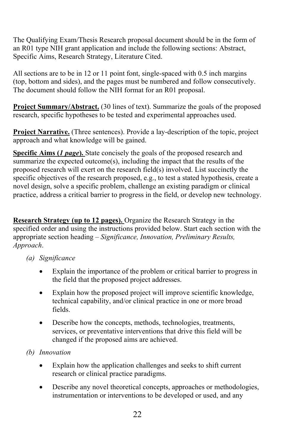The Qualifying Exam/Thesis Research proposal document should be in the form of an R01 type NIH grant application and include the following sections: Abstract, Specific Aims, Research Strategy, Literature Cited.

All sections are to be in 12 or 11 point font, single-spaced with 0.5 inch margins (top, bottom and sides), and the pages must be numbered and follow consecutively. The document should follow the NIH format for an R01 proposal.

**Project Summary/Abstract.** (30 lines of text). Summarize the goals of the proposed research, specific hypotheses to be tested and experimental approaches used.

**Project Narrative.** (Three sentences). Provide a lay-description of the topic, project approach and what knowledge will be gained.

**Specific Aims (***1 page***).** State concisely the goals of the proposed research and summarize the expected outcome(s), including the impact that the results of the proposed research will exert on the research field(s) involved. List succinctly the specific objectives of the research proposed, e.g., to test a stated hypothesis, create a novel design, solve a specific problem, challenge an existing paradigm or clinical practice, address a critical barrier to progress in the field, or develop new technology.

**Research Strategy (up to 12 pages).** Organize the Research Strategy in the specified order and using the instructions provided below. Start each section with the appropriate section heading – *Significance, Innovation, Preliminary Results, Approach*.

- *(a) Significance*
	- Explain the importance of the problem or critical barrier to progress in the field that the proposed project addresses.
	- Explain how the proposed project will improve scientific knowledge, technical capability, and/or clinical practice in one or more broad fields.
	- Describe how the concepts, methods, technologies, treatments, services, or preventative interventions that drive this field will be changed if the proposed aims are achieved.
- *(b) Innovation*
	- Explain how the application challenges and seeks to shift current research or clinical practice paradigms.
	- Describe any novel theoretical concepts, approaches or methodologies, instrumentation or interventions to be developed or used, and any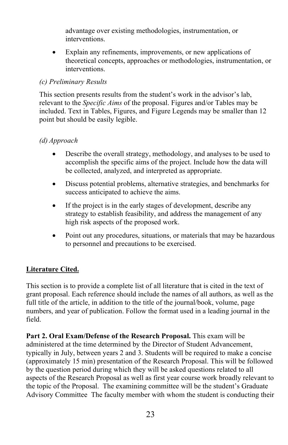advantage over existing methodologies, instrumentation, or interventions.

Explain any refinements, improvements, or new applications of theoretical concepts, approaches or methodologies, instrumentation, or interventions.

## *(c) Preliminary Results*

This section presents results from the student's work in the advisor's lab, relevant to the *Specific Aims* of the proposal. Figures and/or Tables may be included. Text in Tables, Figures, and Figure Legends may be smaller than 12 point but should be easily legible.

# *(d) Approach*

- Describe the overall strategy, methodology, and analyses to be used to accomplish the specific aims of the project. Include how the data will be collected, analyzed, and interpreted as appropriate.
- Discuss potential problems, alternative strategies, and benchmarks for success anticipated to achieve the aims.
- If the project is in the early stages of development, describe any strategy to establish feasibility, and address the management of any high risk aspects of the proposed work.
- Point out any procedures, situations, or materials that may be hazardous to personnel and precautions to be exercised.

# **Literature Cited.**

This section is to provide a complete list of all literature that is cited in the text of grant proposal. Each reference should include the names of all authors, as well as the full title of the article, in addition to the title of the journal/book, volume, page numbers, and year of publication. Follow the format used in a leading journal in the field.

**Part 2. Oral Exam/Defense of the Research Proposal.** This exam will be administered at the time determined by the Director of Student Advancement, typically in July, between years 2 and 3. Students will be required to make a concise (approximately 15 min) presentation of the Research Proposal. This will be followed by the question period during which they will be asked questions related to all aspects of the Research Proposal as well as first year course work broadly relevant to the topic of the Proposal. The examining committee will be the student's Graduate Advisory Committee The faculty member with whom the student is conducting their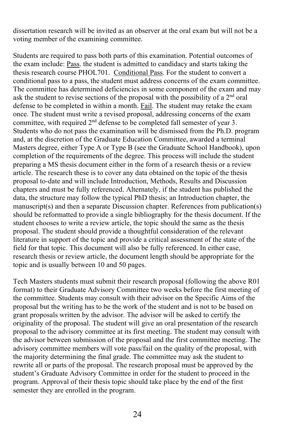dissertation research will be invited as an observer at the oral exam but will not be a voting member of the examining committee.

Students are required to pass both parts of this examination. Potential outcomes of the exam include: Pass. the student is admitted to candidacy and starts taking the thesis research course PHOL701. Conditional Pass. For the student to convert a conditional pass to a pass, the student must address concerns of the exam committee. The committee has determined deficiencies in some component of the exam and may ask the student to revise sections of the proposal with the possibility of a  $2<sup>nd</sup>$  oral defense to be completed in within a month. Fail. The student may retake the exam once. The student must write a revised proposal, addressing concerns of the exam committee, with required  $2<sup>nd</sup>$  defense to be completed fall semester of year 3. Students who do not pass the examination will be dismissed from the Ph.D. program and, at the discretion of the Graduate Education Committee, awarded a terminal Masters degree, either Type A or Type B (see the Graduate School Handbook), upon completion of the requirements of the degree. This process will include the student preparing a MS thesis document either in the form of a research thesis or a review article. The research these is to cover any data obtained on the topic of the thesis proposal to-date and will include Introduction, Methods, Results and Discussion chapters and must be fully referenced. Alternately, if the student has published the data, the structure may follow the typical PhD thesis; an Introduction chapter, the manuscript(s) and then a separate Discussion chapter. References from publication(s) should be reformatted to provide a single bibliography for the thesis document. If the student chooses to write a review article, the topic should the same as the thesis proposal. The student should provide a thoughtful consideration of the relevant literature in support of the topic and provide a critical assessment of the state of the field for that topic. This document will also be fully referenced. In either case, research thesis or review article, the document length should be appropriate for the topic and is usually between 10 and 50 pages.

Tech Masters students must submit their research proposal (following the above R01 format) to their Graduate Advisory Committee two weeks before the first meeting of the committee. Students may consult with their advisor on the Specific Aims of the proposal but the writing has to be the work of the student and is not to be based on grant proposals written by the advisor. The advisor will be asked to certify the originality of the proposal. The student will give an oral presentation of the research proposal to the advisory committee at its first meeting. The student may consult with the advisor between submission of the proposal and the first committee meeting. The advisory committee members will vote pass/fail on the quality of the proposal, with the majority determining the final grade. The committee may ask the student to rewrite all or parts of the proposal. The research proposal must be approved by the student's Graduate Advisory Committee in order for the student to proceed in the program. Approval of their thesis topic should take place by the end of the first semester they are enrolled in the program.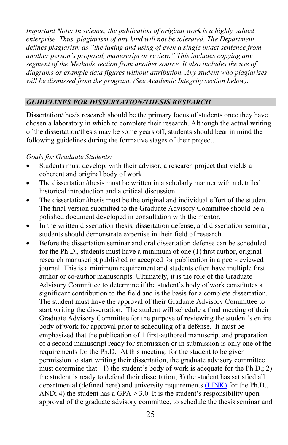*Important Note: In science, the publication of original work is a highly valued enterprise. Thus, plagiarism of any kind will not be tolerated. The Department defines plagiarism as "the taking and using of even a single intact sentence from another person's proposal, manuscript or review." This includes copying any segment of the Methods section from another source. It also includes the use of diagrams or example data figures without attribution. Any student who plagiarizes will be dismissed from the program. (See Academic Integrity section below).*

#### <span id="page-26-0"></span>*GUIDELINES FOR DISSERTATION/THESIS RESEARCH*

Dissertation/thesis research should be the primary focus of students once they have chosen a laboratory in which to complete their research. Although the actual writing of the dissertation/thesis may be some years off, students should bear in mind the following guidelines during the formative stages of their project.

#### *Goals for Graduate Students:*

- Students must develop, with their advisor, a research project that yields a coherent and original body of work.
- The dissertation/thesis must be written in a scholarly manner with a detailed historical introduction and a critical discussion.
- The dissertation/thesis must be the original and individual effort of the student. The final version submitted to the Graduate Advisory Committee should be a polished document developed in consultation with the mentor.
- In the written dissertation thesis, dissertation defense, and dissertation seminar, students should demonstrate expertise in their field of research.
- Before the dissertation seminar and oral dissertation defense can be scheduled for the Ph.D., students must have a minimum of one (1) first author, original research manuscript published or accepted for publication in a peer-reviewed journal. This is a minimum requirement and students often have multiple first author or co-author manuscripts. Ultimately, it is the role of the Graduate Advisory Committee to determine if the student's body of work constitutes a significant contribution to the field and is the basis for a complete dissertation. The student must have the approval of their Graduate Advisory Committee to start writing the dissertation. The student will schedule a final meeting of their Graduate Advisory Committee for the purpose of reviewing the student's entire body of work for approval prior to scheduling of a defense. It must be emphasized that the publication of 1 first-authored manuscript and preparation of a second manuscript ready for submission or in submission is only one of the requirements for the Ph.D. At this meeting, for the student to be given permission to start writing their dissertation, the graduate advisory committee must determine that: 1) the student's body of work is adequate for the Ph.D.; 2) the student is ready to defend their dissertation; 3) the student has satisfied all departmental (defined here) and university requirement[s \(LINK\)](https://case.edu/gradstudies/about-school/policies-procedures#academic%20requirements) for the Ph.D., AND; 4) the student has a GPA  $> 3.0$ . It is the student's responsibility upon approval of the graduate advisory committee, to schedule the thesis seminar and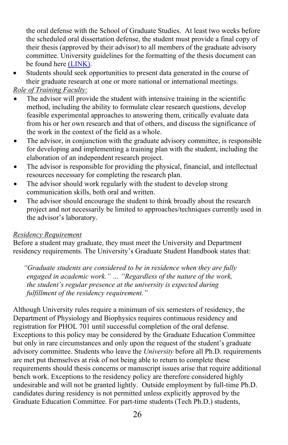the oral defense with the School of Graduate Studies. At least two weeks before the scheduled oral dissertation defense, the student must provide a final copy of their thesis (approved by their advisor) to all members of the graduate advisory committee. University guidelines for the formatting of the thesis document can be found her[e \(LINK\).](https://case.edu/gradstudies/current-students/electronic-theses-and-dissertation-guidelines)

• Students should seek opportunities to present data generated in the course of their graduate research at one or more national or international meetings.

# *Role of Training Faculty:*

- The advisor will provide the student with intensive training in the scientific method, including the ability to formulate clear research questions, develop feasible experimental approaches to answering them, critically evaluate data from his or her own research and that of others, and discuss the significance of the work in the context of the field as a whole.
- The advisor, in conjunction with the graduate advisory committee, is responsible for developing and implementing a training plan with the student, including the elaboration of an independent research project.
- The advisor is responsible for providing the physical, financial, and intellectual resources necessary for completing the research plan.
- The advisor should work regularly with the student to develop strong communication skills, both oral and written.
- The advisor should encourage the student to think broadly about the research project and not necessarily be limited to approaches/techniques currently used in the advisor's laboratory.

## *Residency Requirement*

Before a student may graduate, they must meet the University and Department residency requirements. The University's Graduate Student Handbook states that:

*"Graduate students are considered to be in residence when they are fully engaged in academic work." … "Regardless of the nature of the work, the student's regular presence at the university is expected during fulfillment of the residency requirement."* 

Although University rules require a minimum of six semesters of residency, the Department of Physiology and Biophysics requires continuous residency and registration for PHOL 701 until successful completion of the oral defense. Exceptions to this policy may be considered by the Graduate Education Committee but only in rare circumstances and only upon the request of the student's graduate advisory committee. Students who leave the *University* before all Ph.D. requirements are met put themselves at risk of not being able to return to complete these requirements should thesis concerns or manuscript issues arise that require additional bench work. Exceptions to the residency policy are therefore considered highly undesirable and will not be granted lightly. Outside employment by full-time Ph.D. candidates during residency is not permitted unless explicitly approved by the Graduate Education Committee. For part-time students (Tech Ph.D.) students,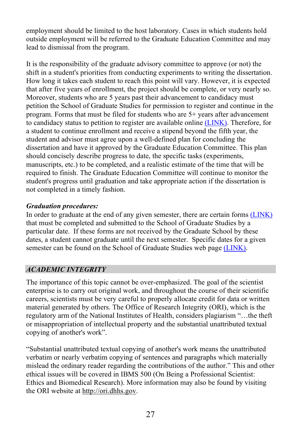employment should be limited to the host laboratory. Cases in which students hold outside employment will be referred to the Graduate Education Committee and may lead to dismissal from the program.

It is the responsibility of the graduate advisory committee to approve (or not) the shift in a student's priorities from conducting experiments to writing the dissertation. How long it takes each student to reach this point will vary. However, it is expected that after five years of enrollment, the project should be complete, or very nearly so. Moreover, students who are 5 years past their advancement to candidacy must petition the School of Graduate Studies for permission to register and continue in the program. Forms that must be filed for students who are 5+ years after advancement to candidacy status to petition to register are available online [\(LINK\).](https://case.edu/gradstudies/current-students/forms/) Therefore, for a student to continue enrollment and receive a stipend beyond the fifth year, the student and advisor must agree upon a well-defined plan for concluding the dissertation and have it approved by the Graduate Education Committee. This plan should concisely describe progress to date, the specific tasks (experiments, manuscripts, etc.) to be completed, and a realistic estimate of the time that will be required to finish. The Graduate Education Committee will continue to monitor the student's progress until graduation and take appropriate action if the dissertation is not completed in a timely fashion.

## *Graduation procedures:*

In order to graduate at the end of any given semester, there are certain forms [\(LINK\)](https://case.edu/gradstudies/current-students/graduation) that must be completed and submitted to the School of Graduate Studies by a particular date. If these forms are not received by the Graduate School by these dates, a student cannot graduate until the next semester. Specific dates for a given semester can be found on the School of Graduate Studies web pag[e \(LINK\).](https://case.edu/gradstudies/current-students/dates-deadlines)

# <span id="page-28-0"></span>*ACADEMIC INTEGRITY*

The importance of this topic cannot be over-emphasized. The goal of the scientist enterprise is to carry out original work, and throughout the course of their scientific careers, scientists must be very careful to properly allocate credit for data or written material generated by others. The Office of Research Integrity (ORI), which is the regulatory arm of the National Institutes of Health, considers plagiarism "…the theft or misappropriation of intellectual property and the substantial unattributed textual copying of another's work".

"Substantial unattributed textual copying of another's work means the unattributed verbatim or nearly verbatim copying of sentences and paragraphs which materially mislead the ordinary reader regarding the contributions of the author." This and other ethical issues will be covered in IBMS 500 (On Being a Professional Scientist: Ethics and Biomedical Research). More information may also be found by visiting the ORI website at [http://ori.dhhs.gov.](http://ori.dhhs.gov/)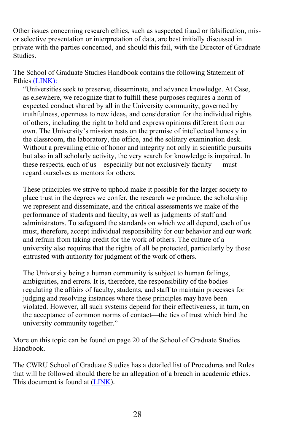Other issues concerning research ethics, such as suspected fraud or falsification, misor selective presentation or interpretation of data, are best initially discussed in private with the parties concerned, and should this fail, with the Director of Graduate **Studies** 

The School of Graduate Studies Handbook contains the following Statement of Ethics [\(LINK\):](https://case.edu/gradstudies/about-school/statement-ethics) 

"Universities seek to preserve, disseminate, and advance knowledge. At Case, as elsewhere, we recognize that to fulfill these purposes requires a norm of expected conduct shared by all in the University community, governed by truthfulness, openness to new ideas, and consideration for the individual rights of others, including the right to hold and express opinions different from our own. The University's mission rests on the premise of intellectual honesty in the classroom, the laboratory, the office, and the solitary examination desk. Without a prevailing ethic of honor and integrity not only in scientific pursuits but also in all scholarly activity, the very search for knowledge is impaired. In these respects, each of us—especially but not exclusively faculty — must regard ourselves as mentors for others.

These principles we strive to uphold make it possible for the larger society to place trust in the degrees we confer, the research we produce, the scholarship we represent and disseminate, and the critical assessments we make of the performance of students and faculty, as well as judgments of staff and administrators. To safeguard the standards on which we all depend, each of us must, therefore, accept individual responsibility for our behavior and our work and refrain from taking credit for the work of others. The culture of a university also requires that the rights of all be protected, particularly by those entrusted with authority for judgment of the work of others.

The University being a human community is subject to human failings, ambiguities, and errors. It is, therefore, the responsibility of the bodies regulating the affairs of faculty, students, and staff to maintain processes for judging and resolving instances where these principles may have been violated. However, all such systems depend for their effectiveness, in turn, on the acceptance of common norms of contact—the ties of trust which bind the university community together."

More on this topic can be found on page 20 of the School of Graduate Studies Handbook.

The CWRU School of Graduate Studies has a detailed list of Procedures and Rules that will be followed should there be an allegation of a breach in academic ethics. This document is found at [\(LINK\)](https://case.edu/gradstudies/sites/case.edu.gradstudies/files/2018-04/SGS-Academic-Integrity-Policies-and-Rules.pdf).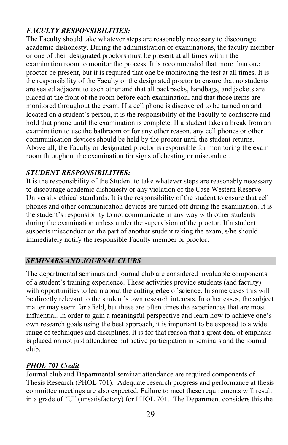# *FACULTY RESPONSIBILITIES:*

The Faculty should take whatever steps are reasonably necessary to discourage academic dishonesty. During the administration of examinations, the faculty member or one of their designated proctors must be present at all times within the examination room to monitor the process. It is recommended that more than one proctor be present, but it is required that one be monitoring the test at all times. It is the responsibility of the Faculty or the designated proctor to ensure that no students are seated adjacent to each other and that all backpacks, handbags, and jackets are placed at the front of the room before each examination, and that those items are monitored throughout the exam. If a cell phone is discovered to be turned on and located on a student's person, it is the responsibility of the Faculty to confiscate and hold that phone until the examination is complete. If a student takes a break from an examination to use the bathroom or for any other reason, any cell phones or other communication devices should be held by the proctor until the student returns. Above all, the Faculty or designated proctor is responsible for monitoring the exam room throughout the examination for signs of cheating or misconduct.

# *STUDENT RESPONSIBILITIES:*

It is the responsibility of the Student to take whatever steps are reasonably necessary to discourage academic dishonesty or any violation of the Case Western Reserve University ethical standards. It is the responsibility of the student to ensure that cell phones and other communication devices are turned off during the examination. It is the student's responsibility to not communicate in any way with other students during the examination unless under the supervision of the proctor. If a student suspects misconduct on the part of another student taking the exam, s/he should immediately notify the responsible Faculty member or proctor.

# <span id="page-30-0"></span>*SEMINARS AND JOURNAL CLUBS*

The departmental seminars and journal club are considered invaluable components of a student's training experience. These activities provide students (and faculty) with opportunities to learn about the cutting edge of science. In some cases this will be directly relevant to the student's own research interests. In other cases, the subject matter may seem far afield, but these are often times the experiences that are most influential. In order to gain a meaningful perspective and learn how to achieve one's own research goals using the best approach, it is important to be exposed to a wide range of techniques and disciplines. It is for that reason that a great deal of emphasis is placed on not just attendance but active participation in seminars and the journal club.

# *PHOL 701 Credit*

Journal club and Departmental seminar attendance are required components of Thesis Research (PHOL 701). Adequate research progress and performance at thesis committee meetings are also expected. Failure to meet these requirements will result in a grade of "U" (unsatisfactory) for PHOL 701. The Department considers this the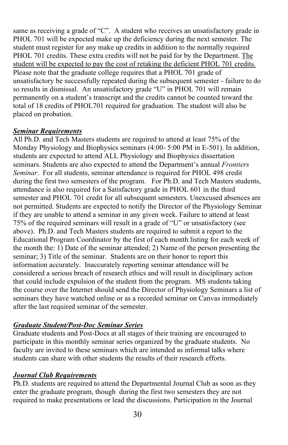same as receiving a grade of "C". A student who receives an unsatisfactory grade in PHOL 701 will be expected make up the deficiency during the next semester. The student must register for any make up credits in addition to the normally required PHOL 701 credits. These extra credits will not be paid for by the Department. The student will be expected to pay the cost of retaking the deficient PHOL 701 credits. Please note that the graduate college requires that a PHOL 701 grade of unsatisfactory be successfully repeated during the subsequent semester - failure to do so results in dismissal. An unsatisfactory grade "U" in PHOL 701 will remain permanently on a student's transcript and the credits cannot be counted toward the total of 18 credits of PHOL701 required for graduation. The student will also be placed on probation.

# *Seminar Requirements*

All Ph.D. and Tech Masters students are required to attend at least 75% of the Monday Physiology and Biophysics seminars (4:00- 5:00 PM in E-501). In addition, students are expected to attend ALL Physiology and Biophysics dissertation seminars. Students are also expected to attend the Department's annual *Frontiers Seminar*. For all students, seminar attendance is required for PHOL 498 credit during the first two semesters of the program. For Ph.D. and Tech Masters students, attendance is also required for a Satisfactory grade in PHOL 601 in the third semester and PHOL 701 credit for all subsequent semesters. Unexcused absences are not permitted. Students are expected to notify the Director of the Physiology Seminar if they are unable to attend a seminar in any given week. Failure to attend at least 75% of the required seminars will result in a grade of "U" or unsatisfactory (see above). Ph.D. and Tech Masters students are required to submit a report to the Educational Program Coordinator by the first of each month listing for each week of the month the: 1) Date of the seminar attended; 2) Name of the person presenting the seminar; 3) Title of the seminar. Students are on their honor to report this information accurately. Inaccurately reporting seminar attendance will be considered a serious breach of research ethics and will result in disciplinary action that could include expulsion of the student from the program. MS students taking the course over the Internet should send the Director of Physiology Seminars a list of seminars they have watched online or as a recorded seminar on Canvas immediately after the last required seminar of the semester.

# *Graduate Student/Post-Doc Seminar Series*

Graduate students and Post-Docs at all stages of their training are encouraged to participate in this monthly seminar series organized by the graduate students. No faculty are invited to these seminars which are intended as informal talks where students can share with other students the results of their research efforts.

# *Journal Club Requirements*

Ph.D. students are required to attend the Departmental Journal Club as soon as they enter the graduate program, though during the first two semesters they are not required to make presentations or lead the discussions. Participation in the Journal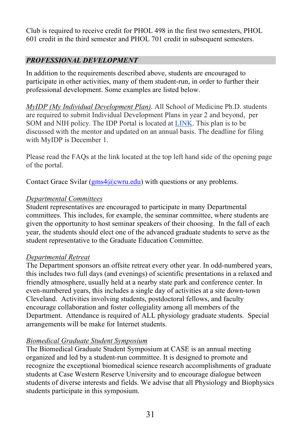Club is required to receive credit for PHOL 498 in the first two semesters, PHOL 601 credit in the third semester and PHOL 701 credit in subsequent semesters.

# <span id="page-32-0"></span>*PROFESSIONAL DEVELOPMENT*

In addition to the requirements described above, students are encouraged to participate in other activities, many of them student-run, in order to further their professional development. Some examples are listed below.

*MyIDP (My Individual Development Plan)*. All School of Medicine Ph.D. students are required to submit Individual Development Plans in year 2 and beyond, per SOM and NIH policy. The IDP Portal is located at [LINK.](https://med-ed.case.edu/IDP) This plan is to be discussed with the mentor and updated on an annual basis. The deadline for filing with MyIDP is December 1.

Please read the FAQs at the link located at the top left hand side of the opening page of the portal.

Contact Grace Svilar  $(gms4@cwru.edu)$  with questions or any problems.

## *Departmental Committees*

Student representatives are encouraged to participate in many Departmental committees. This includes, for example, the seminar committee, where students are given the opportunity to host seminar speakers of their choosing. In the fall of each year, the students should elect one of the advanced graduate students to serve as the student representative to the Graduate Education Committee.

## *Departmental Retreat*

The Department sponsors an offsite retreat every other year. In odd-numbered years, this includes two full days (and evenings) of scientific presentations in a relaxed and friendly atmosphere, usually held at a nearby state park and conference center. In even-numbered years, this includes a single day of activities at a site down-town Cleveland. Activities involving students, postdoctoral fellows, and faculty encourage collaboration and foster collegiality among all members of the Department. Attendance is required of ALL physiology graduate students. Special arrangements will be make for Internet students.

## *Biomedical Graduate Student Symposium*

The Biomedical Graduate Student Symposium at CASE is an annual meeting organized and led by a student-run committee. It is designed to promote and recognize the exceptional biomedical science research accomplishments of graduate students at Case Western Reserve University and to encourage dialogue between students of diverse interests and fields. We advise that all Physiology and Biophysics students participate in this symposium.